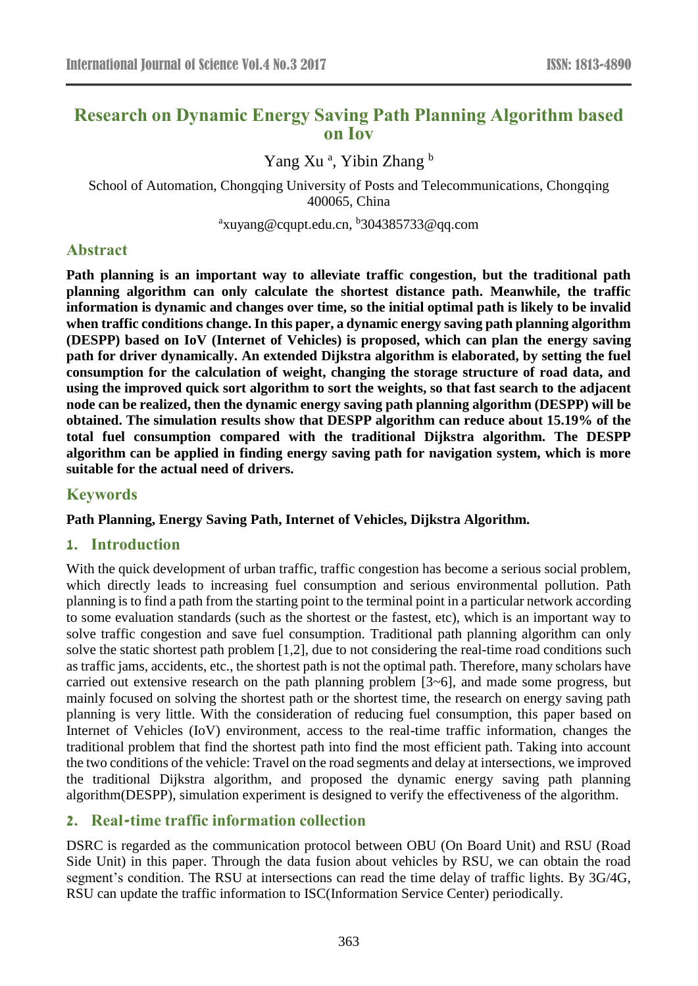# **Research on Dynamic Energy Saving Path Planning Algorithm based on Iov**

Yang Xu<sup>a</sup>, Yibin Zhang b

School of Automation, Chongqing University of Posts and Telecommunications, Chongqing 400065, China

<sup>a</sup>xuyang@cqupt.edu.cn, <sup>b</sup>304385733@qq.com

## **Abstract**

**Path planning is an important way to alleviate traffic congestion, but the traditional path planning algorithm can only calculate the shortest distance path. Meanwhile, the traffic information is dynamic and changes over time, so the initial optimal path is likely to be invalid when traffic conditions change. In this paper, a dynamic energy saving path planning algorithm (DESPP) based on IoV (Internet of Vehicles) is proposed, which can plan the energy saving path for driver dynamically. An extended Dijkstra algorithm is elaborated, by setting the fuel consumption for the calculation of weight, changing the storage structure of road data, and using the improved quick sort algorithm to sort the weights, so that fast search to the adjacent node can be realized, then the dynamic energy saving path planning algorithm (DESPP) will be obtained. The simulation results show that DESPP algorithm can reduce about 15.19% of the total fuel consumption compared with the traditional Dijkstra algorithm. The DESPP algorithm can be applied in finding energy saving path for navigation system, which is more suitable for the actual need of drivers.**

### **Keywords**

**Path Planning, Energy Saving Path, Internet of Vehicles, Dijkstra Algorithm.**

## **1. Introduction**

With the quick development of urban traffic, traffic congestion has become a serious social problem, which directly leads to increasing fuel consumption and serious environmental pollution. Path planning is to find a path from the starting point to the terminal point in a particular network according to some evaluation standards (such as the shortest or the fastest, etc), which is an important way to solve traffic congestion and save fuel consumption. Traditional path planning algorithm can only solve the static shortest path problem [1,2], due to not considering the real-time road conditions such as traffic jams, accidents, etc., the shortest path is not the optimal path. Therefore, many scholars have carried out extensive research on the path planning problem [3~6], and made some progress, but mainly focused on solving the shortest path or the shortest time, the research on energy saving path planning is very little. With the consideration of reducing fuel consumption, this paper based on Internet of Vehicles (IoV) environment, access to the real-time traffic information, changes the traditional problem that find the shortest path into find the most efficient path. Taking into account the two conditions of the vehicle: Travel on the road segments and delay at intersections, we improved the traditional Dijkstra algorithm, and proposed the dynamic energy saving path planning algorithm(DESPP), simulation experiment is designed to verify the effectiveness of the algorithm.

# **2. Real-time traffic information collection**

DSRC is regarded as the communication protocol between OBU (On Board Unit) and RSU (Road Side Unit) in this paper. Through the data fusion about vehicles by RSU, we can obtain the road segment's condition. The RSU at intersections can read the time delay of traffic lights. By 3G/4G, RSU can update the traffic information to ISC(Information Service Center) periodically.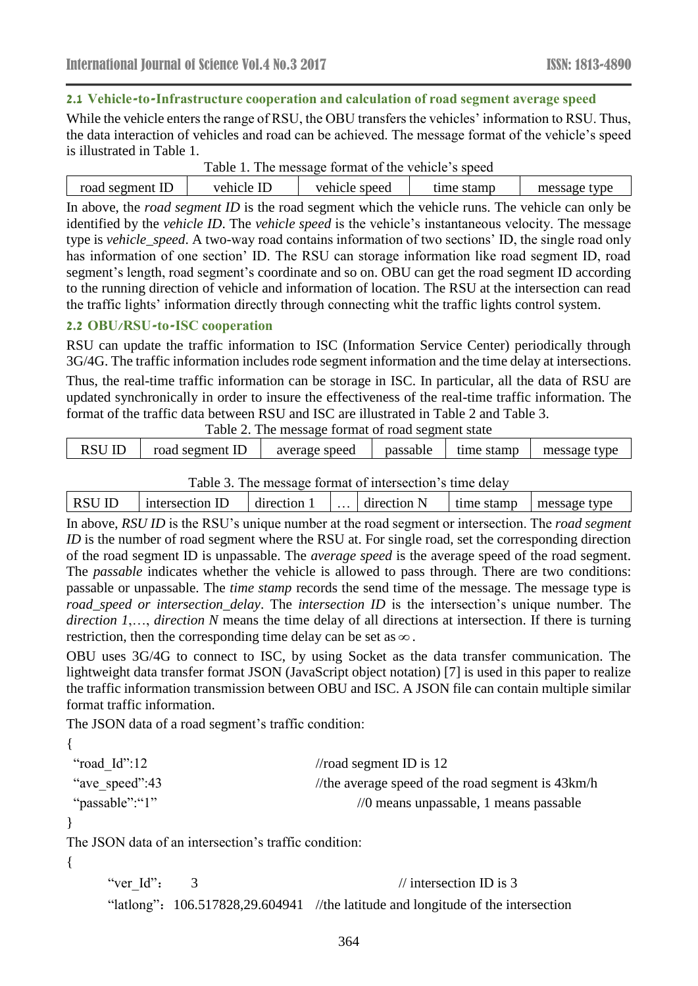### **2.1 Vehicle-to-Infrastructure cooperation and calculation of road segment average speed**

While the vehicle enters the range of RSU, the OBU transfers the vehicles' information to RSU. Thus, the data interaction of vehicles and road can be achieved. The message format of the vehicle's speed is illustrated in Table 1.

|  | Table 1. The message format of the vehicle's speed |  |  |
|--|----------------------------------------------------|--|--|
|--|----------------------------------------------------|--|--|

| road segment ID | vehicle ID | vehicle speed | time stamp | message type |
|-----------------|------------|---------------|------------|--------------|
|                 |            |               |            |              |

In above, the *road segment ID* is the road segment which the vehicle runs. The vehicle can only be identified by the *vehicle ID*. The *vehicle speed* is the vehicle's instantaneous velocity. The message type is *vehicle\_speed*. A two-way road contains information of two sections' ID, the single road only has information of one section' ID. The RSU can storage information like road segment ID, road segment's length, road segment's coordinate and so on. OBU can get the road segment ID according to the running direction of vehicle and information of location. The RSU at the intersection can read the traffic lights' information directly through connecting whit the traffic lights control system.

### **2.2 OBU/RSU-to-ISC cooperation**

RSU can update the traffic information to ISC (Information Service Center) periodically through 3G/4G. The traffic information includes rode segment information and the time delay at intersections.

Thus, the real-time traffic information can be storage in ISC. In particular, all the data of RSU are updated synchronically in order to insure the effectiveness of the real-time traffic information. The format of the traffic data between RSU and ISC are illustrated in Table 2 and Table 3.

| Table 2. The message format of road segment state |                 |               |          |  |                           |
|---------------------------------------------------|-----------------|---------------|----------|--|---------------------------|
| RSU ID                                            | road segment ID | average speed | passable |  | time stamp   message type |

Table 3. The message format of intersection's time delay

|  | <b>RSU</b> | $\mathbb{I}$<br>intersection. | direction | $\cdots$ | direction <sub>1</sub> | stamp<br>time | type<br>message |  |
|--|------------|-------------------------------|-----------|----------|------------------------|---------------|-----------------|--|
|--|------------|-------------------------------|-----------|----------|------------------------|---------------|-----------------|--|

In above, *RSU ID* is the RSU's unique number at the road segment or intersection. The *road segment ID* is the number of road segment where the RSU at. For single road, set the corresponding direction of the road segment ID is unpassable. The *average speed* is the average speed of the road segment. The *passable* indicates whether the vehicle is allowed to pass through. There are two conditions: passable or unpassable. The *time stamp* records the send time of the message. The message type is *road speed or intersection delay.* The *intersection ID* is the *intersection's unique number.* The *direction 1*,…, *direction N* means the time delay of all directions at intersection. If there is turning restriction, then the corresponding time delay can be set as  $\infty$ .

OBU uses 3G/4G to connect to ISC, by using Socket as the data transfer communication. The lightweight data transfer format JSON (JavaScript object notation) [7] is used in this paper to realize the traffic information transmission between OBU and ISC. A JSON file can contain multiple similar format traffic information.

The JSON data of a road segment's traffic condition:

```
{
```

```
"road Id":12 //road segment ID is 12
"ave speed":43 //the average speed of the road segment is 43km/h
"passable":"1" //0 means unpassable, 1 means passable
```
}

The JSON data of an intersection's traffic condition:

{

```
"ver Id": 3 // intersection ID is 3
"latlong": 106.517828,29.604941 //the latitude and longitude of the intersection
```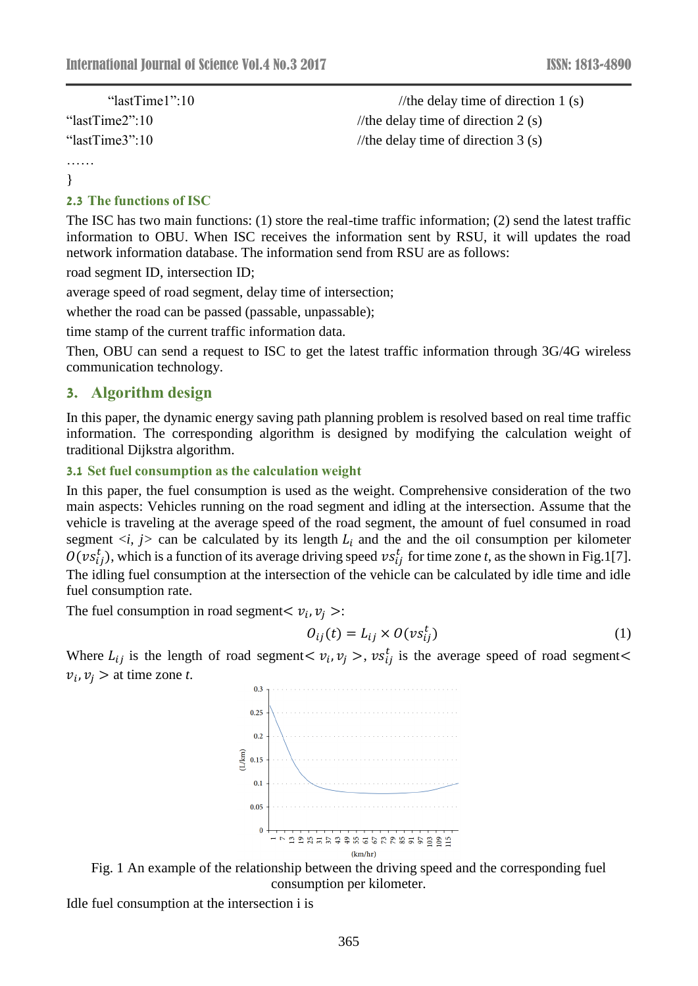| " $lastTime1"$ :10 | //the delay time of direction 1 $(s)$ |
|--------------------|---------------------------------------|
| "lastTime2":10     | //the delay time of direction 2 (s)   |
| "lastTime3":10     | //the delay time of direction $3(s)$  |
|                    |                                       |

}

……

#### **2.3 The functions of ISC**

The ISC has two main functions: (1) store the real-time traffic information; (2) send the latest traffic information to OBU. When ISC receives the information sent by RSU, it will updates the road network information database. The information send from RSU are as follows:

road segment ID, intersection ID;

average speed of road segment, delay time of intersection;

whether the road can be passed (passable, unpassable);

time stamp of the current traffic information data.

Then, OBU can send a request to ISC to get the latest traffic information through 3G/4G wireless communication technology.

### **3. Algorithm design**

In this paper, the dynamic energy saving path planning problem is resolved based on real time traffic information. The corresponding algorithm is designed by modifying the calculation weight of traditional Dijkstra algorithm.

#### **3.1 Set fuel consumption as the calculation weight**

In this paper, the fuel consumption is used as the weight. Comprehensive consideration of the two main aspects: Vehicles running on the road segment and idling at the intersection. Assume that the vehicle is traveling at the average speed of the road segment, the amount of fuel consumed in road segment  $\langle i, j \rangle$  can be calculated by its length  $L_i$  and the and the oil consumption per kilometer  $O(v s_{ij}^t)$ , which is a function of its average driving speed  $vs_{ij}^t$  for time zone *t*, as the shown in Fig.1[7]. The idling fuel consumption at the intersection of the vehicle can be calculated by idle time and idle fuel consumption rate.

The fuel consumption in road segment  $v_i$ ,  $v_j$  >:

$$
O_{ij}(t) = L_{ij} \times O(v s_{ij}^t)
$$
 (1)

Where  $L_{ij}$  is the length of road segment  $\langle v_i, v_j \rangle$ ,  $vs_{ij}^t$  is the average speed of road segment  $\langle v_j, v_j \rangle$  $v_i$ ,  $v_j >$  at time zone *t*.





Idle fuel consumption at the intersection i is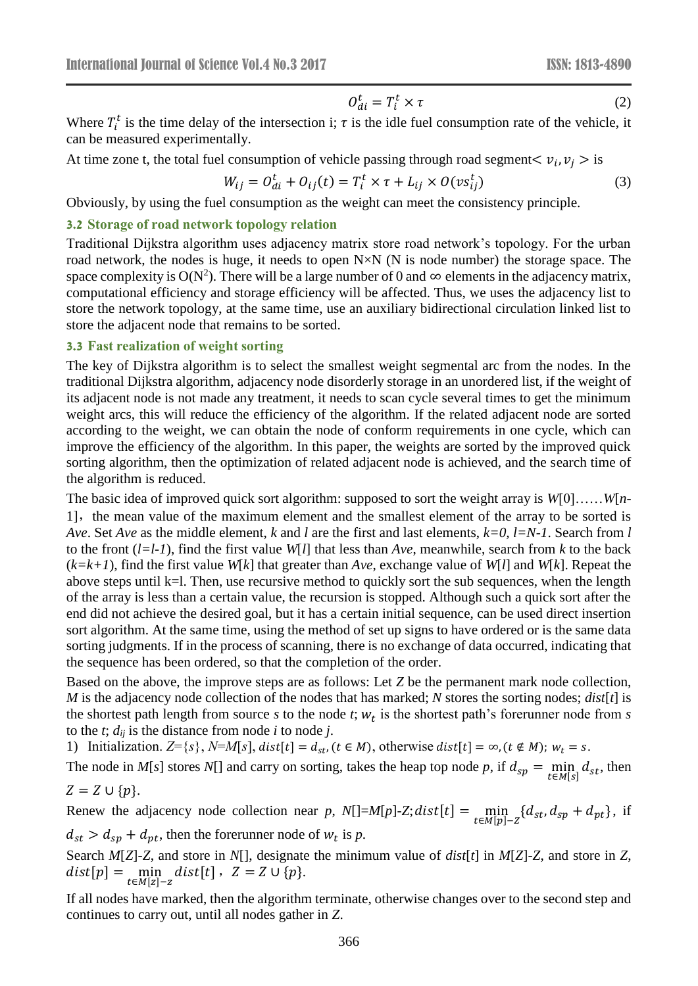$$
O_{di}^t = T_i^t \times \tau \tag{2}
$$

Where  $T_i^t$  is the time delay of the intersection i;  $\tau$  is the idle fuel consumption rate of the vehicle, it can be measured experimentally.

At time zone t, the total fuel consumption of vehicle passing through road segment $\langle v_i, v_j \rangle$  is

$$
W_{ij} = O_{di}^t + O_{ij}(t) = T_i^t \times \tau + L_{ij} \times O(v s_{ij}^t)
$$
\n(3)

Obviously, by using the fuel consumption as the weight can meet the consistency principle.

#### **3.2 Storage of road network topology relation**

Traditional Dijkstra algorithm uses adjacency matrix store road network's topology. For the urban road network, the nodes is huge, it needs to open N×N (N is node number) the storage space. The space complexity is  $O(N^2)$ . There will be a large number of 0 and  $\infty$  elements in the adjacency matrix, computational efficiency and storage efficiency will be affected. Thus, we uses the adjacency list to store the network topology, at the same time, use an auxiliary bidirectional circulation linked list to store the adjacent node that remains to be sorted.

#### **3.3 Fast realization of weight sorting**

The key of Dijkstra algorithm is to select the smallest weight segmental arc from the nodes. In the traditional Dijkstra algorithm, adjacency node disorderly storage in an unordered list, if the weight of its adjacent node is not made any treatment, it needs to scan cycle several times to get the minimum weight arcs, this will reduce the efficiency of the algorithm. If the related adjacent node are sorted according to the weight, we can obtain the node of conform requirements in one cycle, which can improve the efficiency of the algorithm. In this paper, the weights are sorted by the improved quick sorting algorithm, then the optimization of related adjacent node is achieved, and the search time of the algorithm is reduced.

The basic idea of improved quick sort algorithm: supposed to sort the weight array is *W*[0]……*W*[*n*-1], the mean value of the maximum element and the smallest element of the array to be sorted is *Ave*. Set *Ave* as the middle element, *k* and *l* are the first and last elements, *k=0, l=N-1*. Search from *l* to the front  $(l=l-1)$ , find the first value  $W[l]$  that less than  $Ave$ , meanwhile, search from *k* to the back (*k=k+1*), find the first value *W*[*k*] that greater than *Ave*, exchange value of *W*[*l*] and *W*[*k*]. Repeat the above steps until k=l. Then, use recursive method to quickly sort the sub sequences, when the length of the array is less than a certain value, the recursion is stopped. Although such a quick sort after the end did not achieve the desired goal, but it has a certain initial sequence, can be used direct insertion sort algorithm. At the same time, using the method of set up signs to have ordered or is the same data sorting judgments. If in the process of scanning, there is no exchange of data occurred, indicating that the sequence has been ordered, so that the completion of the order.

Based on the above, the improve steps are as follows: Let *Z* be the permanent mark node collection, *M* is the adjacency node collection of the nodes that has marked; *N* stores the sorting nodes; *dist*[*t*] is the shortest path length from source  $s$  to the node  $t$ ;  $w_t$  is the shortest path's forerunner node from  $s$ to the  $t$ ;  $d_{ij}$  is the distance from node  $i$  to node  $j$ .

1) Initialization.  $Z = \{s\}$ ,  $N=M[s]$ ,  $dist[t] = d_{st}$ ,  $(t \in M)$ , otherwise  $dist[t] = \infty$ ,  $(t \notin M)$ ;  $w_t = s$ .

The node in  $M[s]$  stores  $N[$ ] and carry on sorting, takes the heap top node *p*, if  $d_{sp} = \min_{t \in M[s]} d_{st}$ , then

$$
Z = Z \cup \{p\}.
$$

Renew the adjacency node collection near *p*,  $N[]=M[p]-Z; dist[t] = \min_{t \in M[p]-Z} \{d_{st}, d_{sp} + d_{pt}\},\$ if  $d_{st} > d_{sp} + d_{pt}$ , then the forerunner node of  $w_t$  is p.

Search *M*[*Z*]-*Z*, and store in *N*[], designate the minimum value of *dist*[*t*] in *M*[*Z*]-*Z*, and store in *Z*,  $dist[p] = \min_{t \in M[z]-z} dist[t], \ \ Z = Z \cup \{p\}.$ 

If all nodes have marked, then the algorithm terminate, otherwise changes over to the second step and continues to carry out, until all nodes gather in *Z*.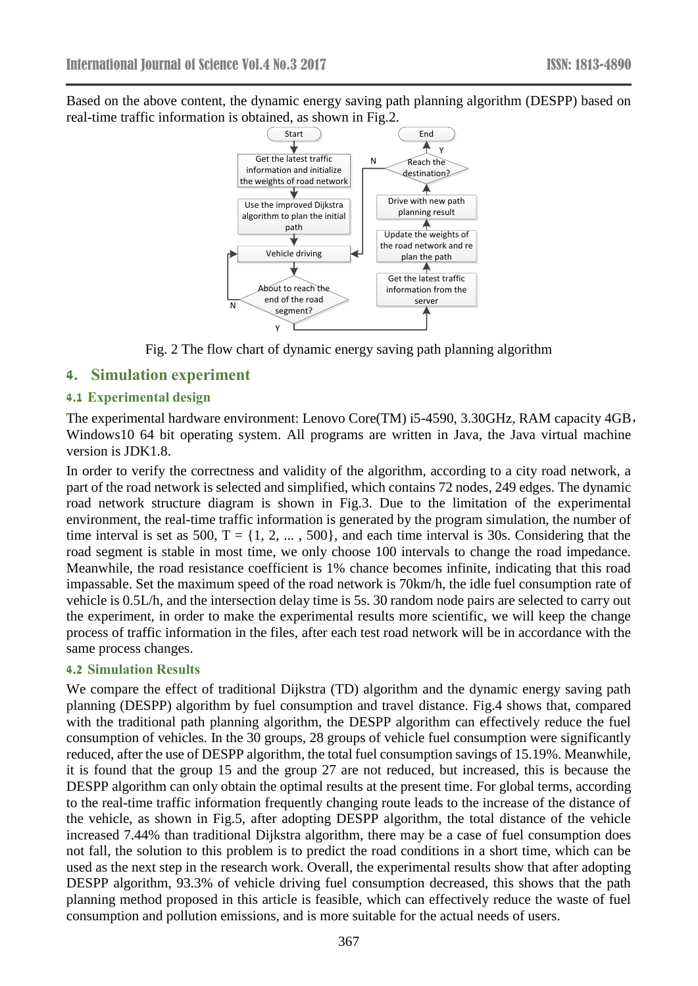Based on the above content, the dynamic energy saving path planning algorithm (DESPP) based on real-time traffic information is obtained, as shown in Fig.2.



Fig. 2 The flow chart of dynamic energy saving path planning algorithm

### **4. Simulation experiment**

#### **4.1 Experimental design**

The experimental hardware environment: Lenovo Core(TM) i5-4590, 3.30GHz, RAM capacity 4GB, Windows10 64 bit operating system. All programs are written in Java, the Java virtual machine version is JDK1.8.

In order to verify the correctness and validity of the algorithm, according to a city road network, a part of the road network is selected and simplified, which contains 72 nodes, 249 edges. The dynamic road network structure diagram is shown in Fig.3. Due to the limitation of the experimental environment, the real-time traffic information is generated by the program simulation, the number of time interval is set as 500,  $T = \{1, 2, ..., 500\}$ , and each time interval is 30s. Considering that the road segment is stable in most time, we only choose 100 intervals to change the road impedance. Meanwhile, the road resistance coefficient is 1% chance becomes infinite, indicating that this road impassable. Set the maximum speed of the road network is 70km/h, the idle fuel consumption rate of vehicle is 0.5L/h, and the intersection delay time is 5s. 30 random node pairs are selected to carry out the experiment, in order to make the experimental results more scientific, we will keep the change process of traffic information in the files, after each test road network will be in accordance with the same process changes.

#### **4.2 Simulation Results**

We compare the effect of traditional Dijkstra *(TD)* algorithm and the dynamic energy saving path planning (DESPP) algorithm by fuel consumption and travel distance. Fig.4 shows that, compared with the traditional path planning algorithm, the DESPP algorithm can effectively reduce the fuel consumption of vehicles. In the 30 groups, 28 groups of vehicle fuel consumption were significantly reduced, after the use of DESPP algorithm, the total fuel consumption savings of 15.19%. Meanwhile, it is found that the group 15 and the group 27 are not reduced, but increased, this is because the DESPP algorithm can only obtain the optimal results at the present time. For global terms, according to the real-time traffic information frequently changing route leads to the increase of the distance of the vehicle, as shown in Fig.5, after adopting DESPP algorithm, the total distance of the vehicle increased 7.44% than traditional Dijkstra algorithm, there may be a case of fuel consumption does not fall, the solution to this problem is to predict the road conditions in a short time, which can be used as the next step in the research work. Overall, the experimental results show that after adopting DESPP algorithm, 93.3% of vehicle driving fuel consumption decreased, this shows that the path planning method proposed in this article is feasible, which can effectively reduce the waste of fuel consumption and pollution emissions, and is more suitable for the actual needs of users.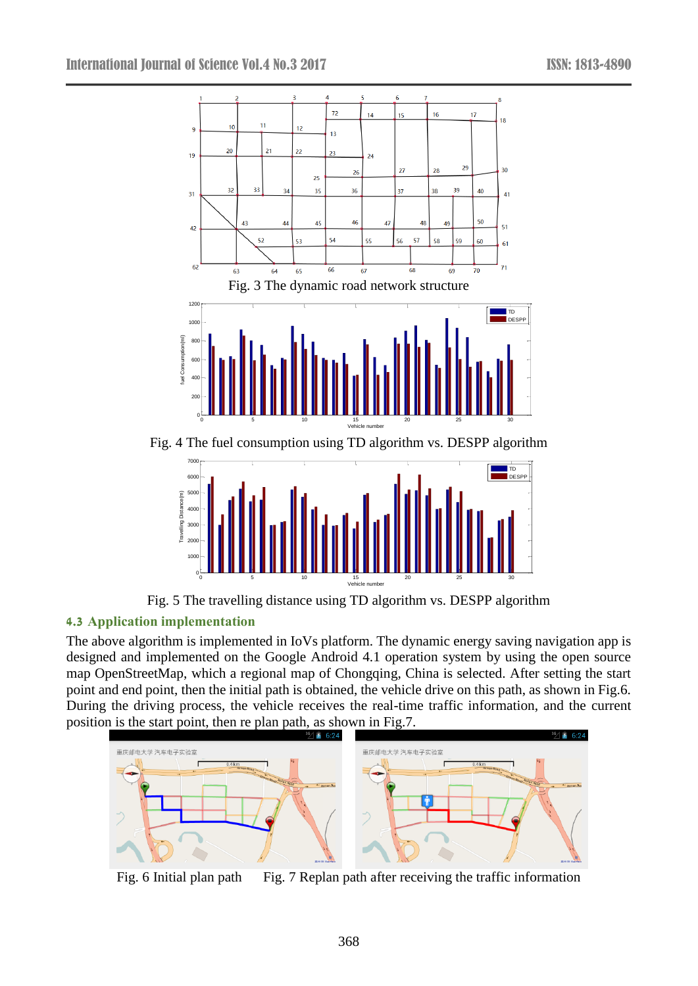

Fig. 4 The fuel consumption using TD algorithm vs. DESPP algorithm



Fig. 5 The travelling distance using TD algorithm vs. DESPP algorithm

# **4.3 Application implementation**

The above algorithm is implemented in IoVs platform. The dynamic energy saving navigation app is designed and implemented on the Google Android 4.1 operation system by using the open source map OpenStreetMap, which a regional map of Chongqing, China is selected. After setting the start point and end point, then the initial path is obtained, the vehicle drive on this path, as shown in Fig.6. During the driving process, the vehicle receives the real-time traffic information, and the current position is the start point, then re plan path, as shown in Fig.7.



Fig. 6 Initial plan path Fig. 7 Replan path after receiving the traffic information